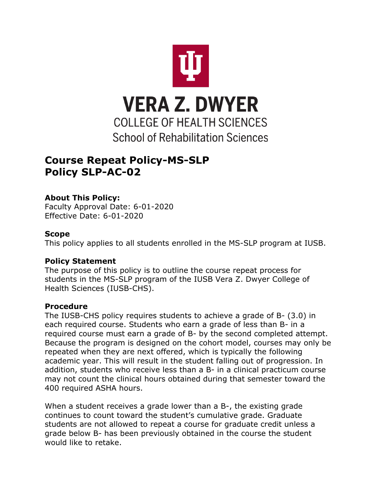

# **Course Repeat Policy-MS-SLP Policy SLP-AC-02**

# **About This Policy:**

Faculty Approval Date: 6-01-2020 Effective Date: 6-01-2020

#### **Scope**

This policy applies to all students enrolled in the MS-SLP program at IUSB.

## **Policy Statement**

The purpose of this policy is to outline the course repeat process for students in the MS-SLP program of the IUSB Vera Z. Dwyer College of Health Sciences (IUSB-CHS).

## **Procedure**

The IUSB-CHS policy requires students to achieve a grade of B- (3.0) in each required course. Students who earn a grade of less than B- in a required course must earn a grade of B- by the second completed attempt. Because the program is designed on the cohort model, courses may only be repeated when they are next offered, which is typically the following academic year. This will result in the student falling out of progression. In addition, students who receive less than a B- in a clinical practicum course may not count the clinical hours obtained during that semester toward the 400 required ASHA hours.

When a student receives a grade lower than a B-, the existing grade continues to count toward the student's cumulative grade. Graduate students are not allowed to repeat a course for graduate credit unless a grade below B- has been previously obtained in the course the student would like to retake.